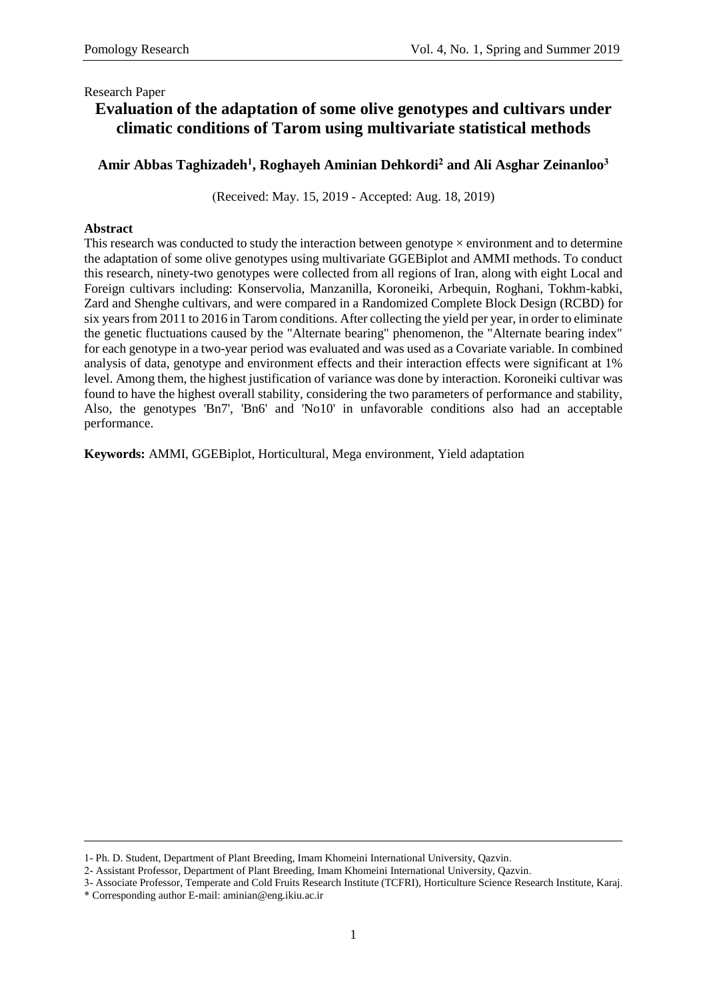# **Evaluation of the adaptation of some olive genotypes and cultivars under climatic conditions of Tarom using multivariate statistical methods**

## **Amir Abbas Taghizadeh<sup>1</sup> , Roghayeh Aminian Dehkordi<sup>2</sup> and Ali Asghar Zeinanloo<sup>3</sup>**

(Received: May. 15, 2019 - Accepted: Aug. 18, 2019)

### **Abstract**

This research was conducted to study the interaction between genotype  $\times$  environment and to determine the adaptation of some olive genotypes using multivariate GGEBiplot and AMMI methods. To conduct this research, ninety-two genotypes were collected from all regions of Iran, along with eight Local and Foreign cultivars including: Konservolia, Manzanilla, Koroneiki, Arbequin, Roghani, Tokhm-kabki, Zard and Shenghe cultivars, and were compared in a Randomized Complete Block Design (RCBD) for six years from 2011 to 2016 in Tarom conditions. After collecting the yield per year, in order to eliminate the genetic fluctuations caused by the "Alternate bearing" phenomenon, the "Alternate bearing index" for each genotype in a two-year period was evaluated and was used as a Covariate variable. In combined analysis of data, genotype and environment effects and their interaction effects were significant at 1% level. Among them, the highest justification of variance was done by interaction. Koroneiki cultivar was found to have the highest overall stability, considering the two parameters of performance and stability, Also, the genotypes 'Bn7', 'Bn6' and 'No10' in unfavorable conditions also had an acceptable performance.

**Keywords:** AMMI, GGEBiplot, Horticultural, Mega environment, Yield adaptation

<sup>1-</sup> Ph. D. Student, Department of Plant Breeding, Imam Khomeini International University, Qazvin.

<sup>2-</sup> Assistant Professor, Department of Plant Breeding, Imam Khomeini International University, Qazvin.

<sup>3-</sup> Associate Professor, Temperate and Cold Fruits Research Institute (TCFRI), Horticulture Science Research Institute, Karaj. \* Corresponding author E-mail: aminian@eng.ikiu.ac.ir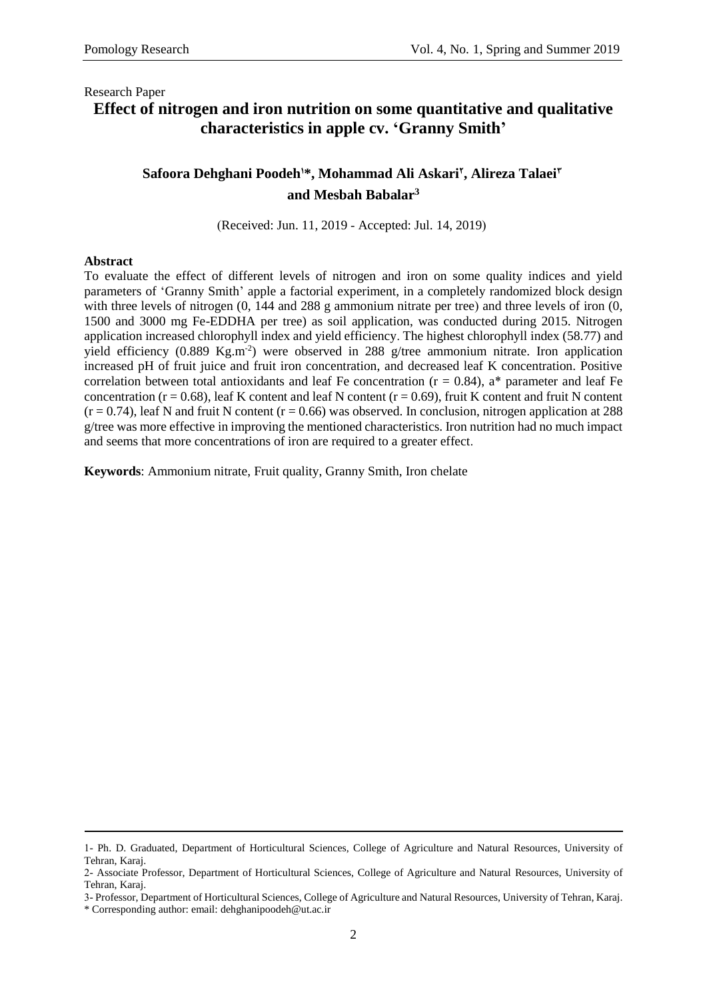# **Effect of nitrogen and iron nutrition on some quantitative and qualitative characteristics in apple cv. 'Granny Smith'**

## **Safoora Dehghani Poodeh1\*, Mohammad Ali Askari<sup>2</sup> , Alireza Talaei 3 and Mesbah Babalar<sup>3</sup>**

(Received: Jun. 11, 2019 - Accepted: Jul. 14, 2019)

#### **Abstract**

To evaluate the effect of different levels of nitrogen and iron on some quality indices and yield parameters of 'Granny Smith' apple a factorial experiment, in a completely randomized block design with three levels of nitrogen  $(0, 144$  and  $288$  g ammonium nitrate per tree) and three levels of iron  $(0, 144)$ 1500 and 3000 mg Fe-EDDHA per tree) as soil application, was conducted during 2015. Nitrogen application increased chlorophyll index and yield efficiency. The highest chlorophyll index (58.77) and yield efficiency  $(0.889 \text{ Kg.m}^{-2})$  were observed in 288 g/tree ammonium nitrate. Iron application increased pH of fruit juice and fruit iron concentration, and decreased leaf K concentration. Positive correlation between total antioxidants and leaf Fe concentration ( $r = 0.84$ ), a\* parameter and leaf Fe concentration ( $r = 0.68$ ), leaf K content and leaf N content ( $r = 0.69$ ), fruit K content and fruit N content  $(r = 0.74)$ , leaf N and fruit N content  $(r = 0.66)$  was observed. In conclusion, nitrogen application at 288 g/tree was more effective in improving the mentioned characteristics. Iron nutrition had no much impact and seems that more concentrations of iron are required to a greater effect.

**Keywords**: Ammonium nitrate, Fruit quality, Granny Smith, Iron chelate

<sup>1-</sup> Ph. D. Graduated, Department of Horticultural Sciences, College of Agriculture and Natural Resources, University of Tehran, Karaj.

<sup>2-</sup> Associate Professor, Department of Horticultural Sciences, College of Agriculture and Natural Resources, University of Tehran, Karaj.

<sup>3-</sup> Professor, Department of Horticultural Sciences, College of Agriculture and Natural Resources, University of Tehran, Karaj.

<sup>\*</sup> Corresponding author: email: dehghanipoodeh@ut.ac.ir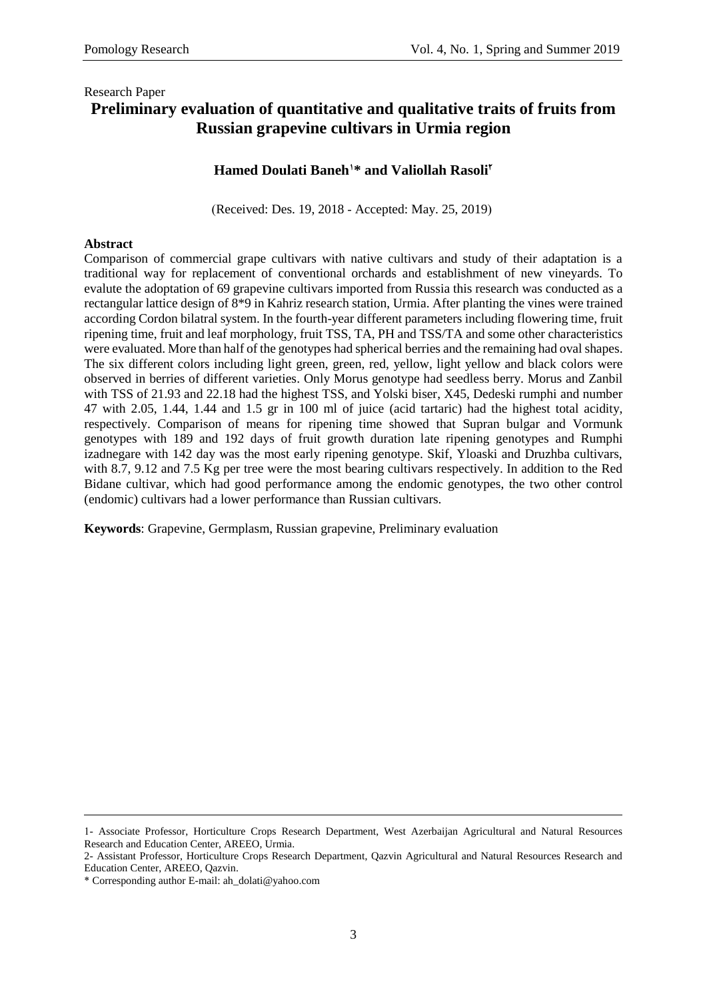## Research Paper **Preliminary evaluation of quantitative and qualitative traits of fruits from Russian grapevine cultivars in Urmia region**

### **Hamed Doulati Baneh1\* and Valiollah Rasoli<sup>2</sup>**

(Received: Des. 19, 2018 - Accepted: May. 25, 2019)

### **Abstract**

Comparison of commercial grape cultivars with native cultivars and study of their adaptation is a traditional way for replacement of conventional orchards and establishment of new vineyards. To evalute the adoptation of 69 grapevine cultivars imported from Russia this research was conducted as a rectangular lattice design of 8\*9 in Kahriz research station, Urmia. After planting the vines were trained according Cordon bilatral system. In the fourth-year different parameters including flowering time, fruit ripening time, fruit and leaf morphology, fruit TSS, TA, PH and TSS/TA and some other characteristics were evaluated. More than half of the genotypes had spherical berries and the remaining had oval shapes. The six different colors including light green, green, red, yellow, light yellow and black colors were observed in berries of different varieties. Only Morus genotype had seedless berry. Morus and Zanbil with TSS of 21.93 and 22.18 had the highest TSS, and Yolski biser, X45, Dedeski rumphi and number 47 with 2.05, 1.44, 1.44 and 1.5 gr in 100 ml of juice (acid tartaric) had the highest total acidity, respectively. Comparison of means for ripening time showed that Supran bulgar and Vormunk genotypes with 189 and 192 days of fruit growth duration late ripening genotypes and Rumphi izadnegare with 142 day was the most early ripening genotype. Skif, Yloaski and Druzhba cultivars, with 8.7, 9.12 and 7.5 Kg per tree were the most bearing cultivars respectively. In addition to the Red Bidane cultivar, which had good performance among the endomic genotypes, the two other control (endomic) cultivars had a lower performance than Russian cultivars.

**Keywords**: Grapevine, Germplasm, Russian grapevine, Preliminary evaluation

<sup>1-</sup> Associate Professor, Horticulture Crops Research Department, West Azerbaijan Agricultural and Natural Resources Research and Education Center, AREEO, Urmia.

<sup>2-</sup> Assistant Professor, Horticulture Crops Research Department, Qazvin Agricultural and Natural Resources Research and Education Center, AREEO, Qazvin.

<sup>\*</sup> Corresponding author E-mail: ah\_dolati@yahoo.com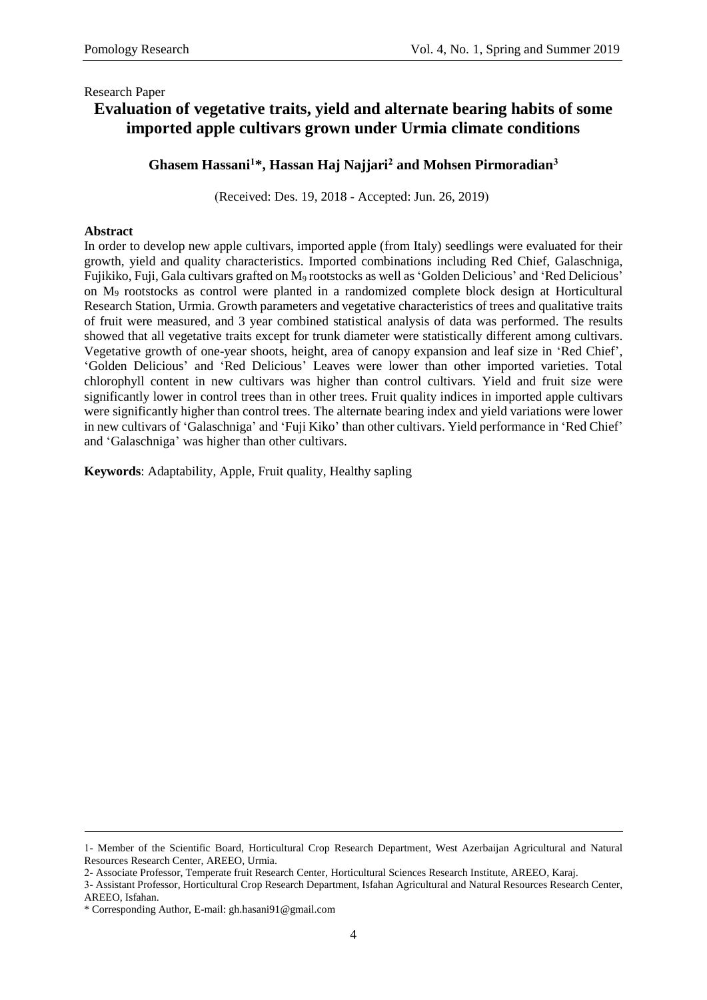# **Evaluation of vegetative traits, yield and alternate bearing habits of some imported apple cultivars grown under Urmia climate conditions**

## **Ghasem Hassani<sup>1</sup>\*, Hassan Haj Najjari<sup>2</sup> and Mohsen Pirmoradian<sup>3</sup>**

(Received: Des. 19, 2018 - Accepted: Jun. 26, 2019)

### **Abstract**

In order to develop new apple cultivars, imported apple (from Italy) seedlings were evaluated for their growth, yield and quality characteristics. Imported combinations including Red Chief, Galaschniga, Fujikiko, Fuji, Gala cultivars grafted on M<sup>9</sup> rootstocks as well as 'Golden Delicious' and 'Red Delicious' on M<sup>9</sup> rootstocks as control were planted in a randomized complete block design at Horticultural Research Station, Urmia. Growth parameters and vegetative characteristics of trees and qualitative traits of fruit were measured, and 3 year combined statistical analysis of data was performed. The results showed that all vegetative traits except for trunk diameter were statistically different among cultivars. Vegetative growth of one-year shoots, height, area of canopy expansion and leaf size in 'Red Chief', 'Golden Delicious' and 'Red Delicious' Leaves were lower than other imported varieties. Total chlorophyll content in new cultivars was higher than control cultivars. Yield and fruit size were significantly lower in control trees than in other trees. Fruit quality indices in imported apple cultivars were significantly higher than control trees. The alternate bearing index and yield variations were lower in new cultivars of 'Galaschniga' and 'Fuji Kiko' than other cultivars. Yield performance in 'Red Chief' and 'Galaschniga' was higher than other cultivars.

**Keywords**: Adaptability, Apple, Fruit quality, Healthy sapling

<sup>1-</sup> Member of the Scientific Board, Horticultural Crop Research Department, West Azerbaijan Agricultural and Natural Resources Research Center, AREEO, Urmia.

<sup>2-</sup> Associate Professor, Temperate fruit Research Center, Horticultural Sciences Research Institute, AREEO, Karaj.

<sup>3-</sup> Assistant Professor, Horticultural Crop Research Department, Isfahan Agricultural and Natural Resources Research Center, AREEO, Isfahan.

<sup>\*</sup> Corresponding Author, E-mail: gh.hasani91@gmail.com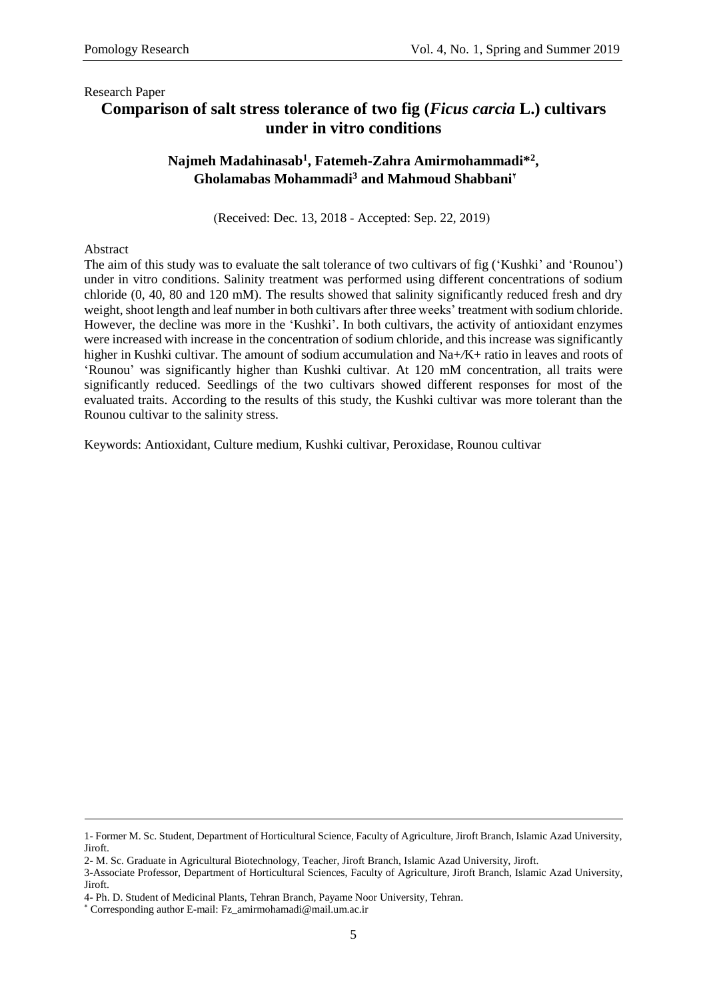# **Comparison of salt stress tolerance of two fig (***Ficus carcia* **L.) cultivars under in vitro conditions**

## **Najmeh Madahinasab<sup>1</sup> , Fatemeh-Zahra Amirmohammadi\*<sup>2</sup> , Gholamabas Mohammadi<sup>3</sup> and Mahmoud Shabbani<sup>2</sup>**

(Received: Dec. 13, 2018 - Accepted: Sep. 22, 2019)

### Abstract

The aim of this study was to evaluate the salt tolerance of two cultivars of fig ('Kushki' and 'Rounou') under in vitro conditions. Salinity treatment was performed using different concentrations of sodium chloride (0, 40, 80 and 120 mM). The results showed that salinity significantly reduced fresh and dry weight, shoot length and leaf number in both cultivars after three weeks' treatment with sodium chloride. However, the decline was more in the 'Kushki'. In both cultivars, the activity of antioxidant enzymes were increased with increase in the concentration of sodium chloride, and this increase was significantly higher in Kushki cultivar. The amount of sodium accumulation and Na+/K+ ratio in leaves and roots of 'Rounou' was significantly higher than Kushki cultivar. At 120 mM concentration, all traits were significantly reduced. Seedlings of the two cultivars showed different responses for most of the evaluated traits. According to the results of this study, the Kushki cultivar was more tolerant than the Rounou cultivar to the salinity stress.

Keywords: Antioxidant, Culture medium, Kushki cultivar, Peroxidase, Rounou cultivar

<sup>1-</sup> Former M. Sc. Student, Department of Horticultural Science, Faculty of Agriculture, Jiroft Branch, Islamic Azad University, Jiroft.

<sup>2-</sup> M. Sc. Graduate in Agricultural Biotechnology, Teacher, Jiroft Branch, Islamic Azad University, Jiroft.

<sup>3-</sup>Associate Professor, Department of Horticultural Sciences, Faculty of Agriculture, Jiroft Branch, Islamic Azad University, Jiroft.

<sup>4-</sup> Ph. D. Student of Medicinal Plants, Tehran Branch, Payame Noor University, Tehran.

<sup>\*</sup> Corresponding author E-mail[: Fz\\_amirmohamadi@mail.um.ac.ir](mailto:Fz_amirmohamadi@mail.um.ac.ir)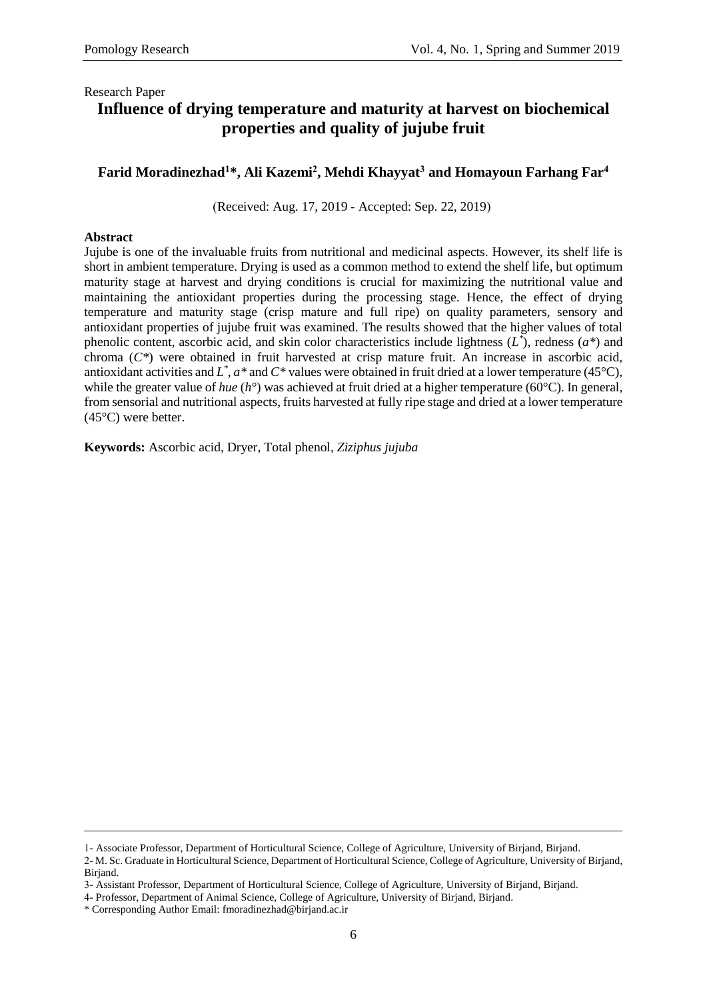# **Influence of drying temperature and maturity at harvest on biochemical properties and quality of jujube fruit**

### **Farid Moradinezhad<sup>1</sup>\*, Ali Kazemi<sup>2</sup> , Mehdi Khayyat<sup>3</sup> and Homayoun Farhang Far<sup>4</sup>**

(Received: Aug. 17, 2019 - Accepted: Sep. 22, 2019)

#### **Abstract**

Jujube is one of the invaluable fruits from nutritional and medicinal aspects. However, its shelf life is short in ambient temperature. Drying is used as a common method to extend the shelf life, but optimum maturity stage at harvest and drying conditions is crucial for maximizing the nutritional value and maintaining the antioxidant properties during the processing stage. Hence, the effect of drying temperature and maturity stage (crisp mature and full ripe) on quality parameters, sensory and antioxidant properties of jujube fruit was examined. The results showed that the higher values of total phenolic content, ascorbic acid, and skin color characteristics include lightness (*L \** ), redness (*a\**) and chroma (*C\**) were obtained in fruit harvested at crisp mature fruit. An increase in ascorbic acid, antioxidant activities and  $L^*$ ,  $a^*$  and  $C^*$  values were obtained in fruit dried at a lower temperature (45 °C), while the greater value of *hue* (*h*<sup>o</sup>) was achieved at fruit dried at a higher temperature (60<sup>o</sup>C). In general, from sensorial and nutritional aspects, fruits harvested at fully ripe stage and dried at a lower temperature (45°C) were better.

**Keywords:** Ascorbic acid, Dryer, Total phenol, *Ziziphus jujuba*

<sup>1-</sup> Associate Professor, Department of Horticultural Science, College of Agriculture, University of Birjand, Birjand.

<sup>2-</sup> M. Sc. Graduate in Horticultural Science, Department of Horticultural Science, College of Agriculture, University of Birjand, Birjand.

<sup>3-</sup> Assistant Professor, Department of Horticultural Science, College of Agriculture, University of Birjand, Birjand.

<sup>4-</sup> Professor, Department of Animal Science, College of Agriculture, University of Birjand, Birjand.

<sup>\*</sup> Corresponding Author Email[: fmoradinezhad@birjand.ac.ir](mailto:fmoradinezhad@birjand.ac.ir)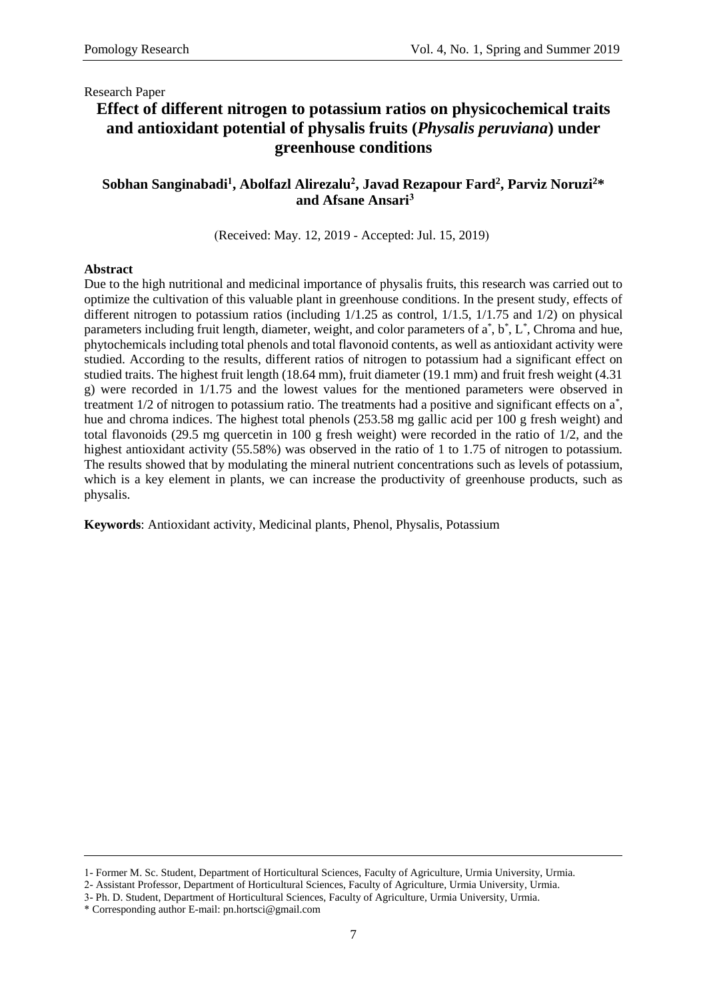# **Effect of different nitrogen to potassium ratios on physicochemical traits and antioxidant potential of physalis fruits (***Physalis peruviana***) under greenhouse conditions**

## **Sobhan Sanginabadi<sup>1</sup> , Abolfazl Alirezalu<sup>2</sup> , Javad Rezapour Fard<sup>2</sup> , Parviz Noruzi<sup>2</sup>\* and Afsane Ansari<sup>3</sup>**

(Received: May. 12, 2019 - Accepted: Jul. 15, 2019)

#### **Abstract**

Due to the high nutritional and medicinal importance of physalis fruits, this research was carried out to optimize the cultivation of this valuable plant in greenhouse conditions. In the present study, effects of different nitrogen to potassium ratios (including 1/1.25 as control, 1/1.5, 1/1.75 and 1/2) on physical parameters including fruit length, diameter, weight, and color parameters of  $a^*$ ,  $b^*$ ,  $L^*$ , Chroma and hue, phytochemicals including total phenols and total flavonoid contents, as well as antioxidant activity were studied. According to the results, different ratios of nitrogen to potassium had a significant effect on studied traits. The highest fruit length (18.64 mm), fruit diameter (19.1 mm) and fruit fresh weight (4.31 g) were recorded in 1/1.75 and the lowest values for the mentioned parameters were observed in treatment 1/2 of nitrogen to potassium ratio. The treatments had a positive and significant effects on a<sup>\*</sup>, hue and chroma indices. The highest total phenols (253.58 mg gallic acid per 100 g fresh weight) and total flavonoids (29.5 mg quercetin in 100 g fresh weight) were recorded in the ratio of 1/2, and the highest antioxidant activity (55.58%) was observed in the ratio of 1 to 1.75 of nitrogen to potassium. The results showed that by modulating the mineral nutrient concentrations such as levels of potassium, which is a key element in plants, we can increase the productivity of greenhouse products, such as physalis.

**Keywords**: Antioxidant activity, Medicinal plants, Phenol, Physalis, Potassium

<sup>1-</sup> Former M. Sc. Student, Department of Horticultural Sciences, Faculty of Agriculture, Urmia University, Urmia.

<sup>2-</sup> Assistant Professor, Department of Horticultural Sciences, Faculty of Agriculture, Urmia University, Urmia.

<sup>3-</sup> Ph. D. Student, Department of Horticultural Sciences, Faculty of Agriculture, Urmia University, Urmia.

<sup>\*</sup> Corresponding author E-mail: pn.hortsci@gmail.com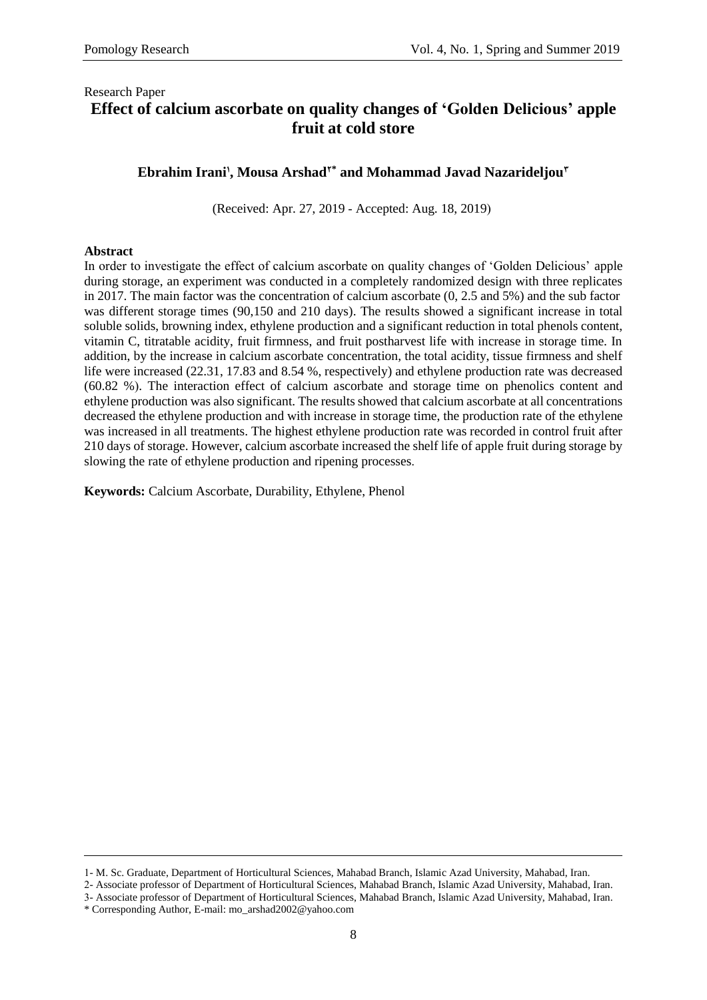## Research Paper **Effect of calcium ascorbate on quality changes of 'Golden Delicious' apple fruit at cold store**

## **Ebrahim Irani<sup>1</sup> , Mousa Arshad2\* and Mohammad Javad Nazarideljou<sup>3</sup>**

(Received: Apr. 27, 2019 - Accepted: Aug. 18, 2019)

### **Abstract**

In order to investigate the effect of calcium ascorbate on quality changes of 'Golden Delicious' apple during storage, an experiment was conducted in a completely randomized design with three replicates in 2017. The main factor was the concentration of calcium ascorbate (0, 2.5 and 5%) and the sub factor was different storage times (90,150 and 210 days). The results showed a significant increase in total soluble solids, browning index, ethylene production and a significant reduction in total phenols content, vitamin C, titratable acidity, fruit firmness, and fruit postharvest life with increase in storage time. In addition, by the increase in calcium ascorbate concentration, the total acidity, tissue firmness and shelf life were increased (22.31, 17.83 and 8.54 %, respectively) and ethylene production rate was decreased  $(60.82, %).$  The interaction effect of calcium ascorbate and storage time on phenolics content and ethylene production was also significant. The results showed that calcium ascorbate at all concentrations decreased the ethylene production and with increase in storage time, the production rate of the ethylene was increased in all treatments. The highest ethylene production rate was recorded in control fruit after 210 days of storage. However, calcium ascorbate increased the shelf life of apple fruit during storage by slowing the rate of ethylene production and ripening processes.

**Keywords:** Calcium Ascorbate, Durability, Ethylene, Phenol

<sup>1-</sup> M. Sc. Graduate, Department of Horticultural Sciences, Mahabad Branch, Islamic Azad University, Mahabad, Iran.

<sup>2-</sup> Associate professor of Department of Horticultural Sciences, Mahabad Branch, Islamic Azad University, Mahabad, Iran. 3- Associate professor of Department of Horticultural Sciences, Mahabad Branch, Islamic Azad University, Mahabad, Iran.

<sup>\*</sup> Corresponding Author, E-mail: mo\_arshad2002@yahoo.com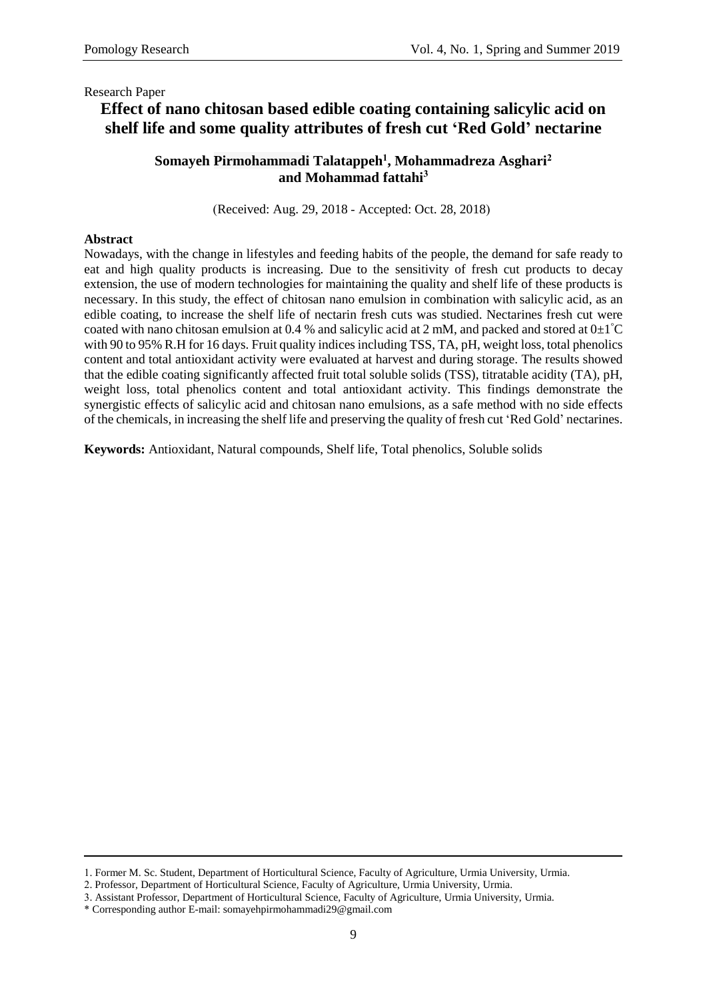# **Effect of nano chitosan based edible coating containing salicylic acid on shelf life and some quality attributes of fresh cut 'Red Gold' nectarine**

### **Somayeh Pirmohammadi Talatappeh 1 , Mohammadreza Asghari<sup>2</sup> and Mohammad fattahi<sup>3</sup>**

(Received: Aug. 29, 2018 - Accepted: Oct. 28, 2018)

### **Abstract**

Nowadays, with the change in lifestyles and feeding habits of the people, the demand for safe ready to eat and high quality products is increasing. Due to the sensitivity of fresh cut products to decay extension, the use of modern technologies for maintaining the quality and shelf life of these products is necessary. In this study, the effect of chitosan nano emulsion in combination with salicylic acid, as an edible coating, to increase the shelf life of nectarin fresh cuts was studied. Nectarines fresh cut were coated with nano chitosan emulsion at 0.4 % and salicylic acid at 2 mM, and packed and stored at  $0\pm1^{\circ}C$ with 90 to 95% R.H for 16 days. Fruit quality indices including TSS, TA, pH, weight loss, total phenolics content and total antioxidant activity were evaluated at harvest and during storage. The results showed that the edible coating significantly affected fruit total soluble solids (TSS), titratable acidity (TA), pH, weight loss, total phenolics content and total antioxidant activity. This findings demonstrate the synergistic effects of salicylic acid and chitosan nano emulsions, as a safe method with no side effects of the chemicals, in increasing the shelf life and preserving the quality of fresh cut 'Red Gold' nectarines.

**Keywords:** Antioxidant, Natural compounds, Shelf life, Total phenolics, Soluble solids

<sup>1.</sup> Former M. Sc. Student, Department of Horticultural Science, Faculty of Agriculture, Urmia University, Urmia.

<sup>2.</sup> Professor, Department of Horticultural Science, Faculty of Agriculture, Urmia University, Urmia.

<sup>3.</sup> Assistant Professor, Department of Horticultural Science, Faculty of Agriculture, Urmia University, Urmia.

<sup>\*</sup> Corresponding author E-mail: somayehpirmohammadi29@gmail.com